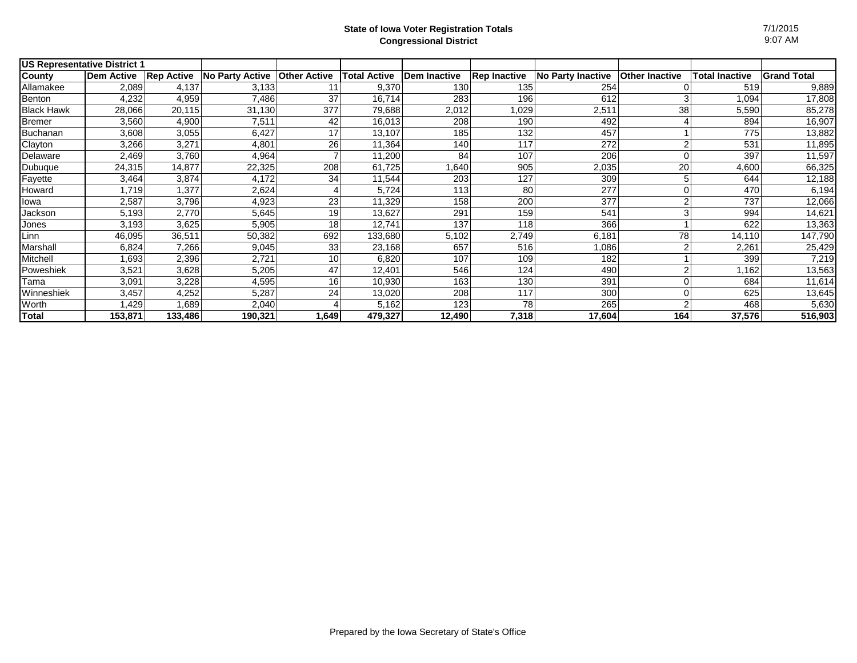| <b>US Representative District 1</b> |                   |                   |                        |                     |              |              |                     |                   |                       |                       |                    |
|-------------------------------------|-------------------|-------------------|------------------------|---------------------|--------------|--------------|---------------------|-------------------|-----------------------|-----------------------|--------------------|
| County                              | <b>Dem Active</b> | <b>Rep Active</b> | <b>No Party Active</b> | <b>Other Active</b> | Total Active | Dem Inactive | <b>Rep Inactive</b> | No Party Inactive | <b>Other Inactive</b> | <b>Total Inactive</b> | <b>Grand Total</b> |
| Allamakee                           | 2,089             | 4,137             | 3,133                  |                     | 9,370        | 130          | 135                 | 254               |                       | 519                   | 9,889              |
| Benton                              | 4,232             | 4,959             | 7,486                  | 37                  | 16,714       | 283          | 196                 | 612               |                       | 1,094                 | 17,808             |
| <b>Black Hawk</b>                   | 28,066            | 20,115            | 31,130                 | 377                 | 79,688       | 2,012        | 1,029               | 2,511             | 38                    | 5,590                 | 85,278             |
| <b>Bremer</b>                       | 3,560             | 4,900             | 7,511                  | 42                  | 16,013       | 208          | 190                 | 492               |                       | 894                   | 16,907             |
| <b>Buchanan</b>                     | 3,608             | 3,055             | 6,427                  | 17                  | 13,107       | 185          | 132                 | 457               |                       | 775                   | 13,882             |
| Clayton                             | 3,266             | 3,271             | 4,801                  | 26                  | 11,364       | 140          | 117                 | 272               |                       | 531                   | 11,895             |
| Delaware                            | 2,469             | 3,760             | 4,964                  |                     | 11,200       | 84           | 107                 | 206               |                       | 397                   | 11,597             |
| Dubuque                             | 24,315            | 14,877            | 22,325                 | 208                 | 61,725       | 1,640        | 905                 | 2,035             | 20                    | 4,600                 | 66,325             |
| Fayette                             | 3,464             | 3,874             | 4,172                  | 34                  | 11,544       | 203          | 127                 | 309               |                       | 644                   | 12,188             |
| Howard                              | 1,719             | 1,377             | 2,624                  |                     | 5,724        | 113          | 80                  | 277               |                       | 470                   | 6,194              |
| lowa                                | 2,587             | 3,796             | 4,923                  | 23                  | 11,329       | 158          | 200                 | 377               |                       | 737                   | 12,066             |
| Jackson                             | 5,193             | 2,770             | 5,645                  | 19                  | 13,627       | 291          | 159                 | 541               |                       | 994                   | 14,621             |
| Jones                               | 3,193             | 3,625             | 5,905                  | 18                  | 12,741       | 137          | 118                 | 366               |                       | 622                   | 13,363             |
| Linn                                | 46,095            | 36,511            | 50,382                 | 692                 | 133,680      | 5,102        | 2,749               | 6,181             | 78                    | 14,110                | 147,790            |
| Marshall                            | 6,824             | 7,266             | 9,045                  | 33                  | 23,168       | 657          | 516                 | 1,086             |                       | 2,261                 | 25,429             |
| Mitchell                            | 1,693             | 2,396             | 2,721                  | 10                  | 6,820        | 107          | 109                 | 182               |                       | 399                   | 7,219              |
| Poweshiek                           | 3,521             | 3,628             | 5,205                  | 47                  | 12,401       | 546          | 124                 | 490               |                       | 1,162                 | 13,563             |
| Tama                                | 3,091             | 3,228             | 4,595                  | 16                  | 10,930       | 163          | 130                 | 391               |                       | 684                   | 11,614             |
| Winneshiek                          | 3,457             | 4,252             | 5,287                  | 24                  | 13,020       | 208          | 117                 | 300               |                       | 625                   | 13,645             |
| Worth                               | ,429              | 1,689             | 2,040                  |                     | 5.162        | 123          | 78                  | 265               |                       | 468                   | 5,630              |
| Total                               | 153,871           | 133,486           | 190,321                | 1,649               | 479,327      | 12,490       | 7,318               | 17,604            | <b>164</b>            | 37,576                | 516,903            |

7/1/2015 9:07 AM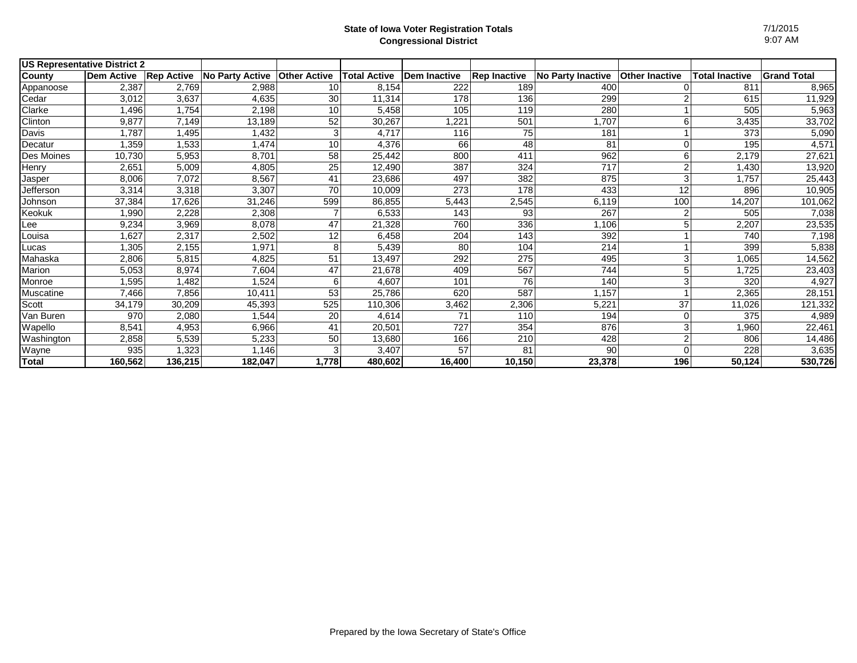| <b>US Representative District 2</b> |                   |                   |                        |                     |              |                     |                     |                          |                       |                       |                    |
|-------------------------------------|-------------------|-------------------|------------------------|---------------------|--------------|---------------------|---------------------|--------------------------|-----------------------|-----------------------|--------------------|
| County                              | <b>Dem Active</b> | <b>Rep Active</b> | <b>No Party Active</b> | <b>Other Active</b> | Total Active | <b>Dem Inactive</b> | <b>Rep Inactive</b> | <b>No Party Inactive</b> | <b>Other Inactive</b> | <b>Total Inactive</b> | <b>Grand Total</b> |
| Appanoose                           | 2,387             | 2,769             | 2,988                  | 10                  | 8,154        | 222                 | 189                 | 400                      |                       | 811                   | 8,965              |
| Cedar                               | 3,012             | 3,637             | 4,635                  | 30                  | 11,314       | 178                 | 136                 | 299                      |                       | 615                   | 11,929             |
| Clarke                              | 1,496             | 1,754             | 2,198                  | 10                  | 5,458        | 105                 | 119                 | 280                      |                       | 505                   | 5,963              |
| Clinton                             | 9,877             | 7,149             | 13,189                 | 52                  | 30,267       | 1,221               | 501                 | 1,707                    |                       | 3,435                 | 33,702             |
| Davis                               | 1.787             | 1,495             | 1,432                  |                     | 4,717        | 116                 | 75                  | 181                      |                       | 373                   | 5,090              |
| Decatur                             | 1,359             | 1,533             | 1,474                  | 10                  | 4,376        | 66                  | 48                  | 81                       |                       | 195                   | 4,571              |
| Des Moines                          | 10,730            | 5,953             | 8,701                  | 58                  | 25,442       | 800                 | 411                 | 962                      | 6                     | 2,179                 | 27,621             |
| Henry                               | 2,651             | 5,009             | 4,805                  | 25                  | 12,490       | 387                 | 324                 | 717                      |                       | 1,430                 | 13,920             |
| Jasper                              | 8,006             | 7,072             | 8,567                  | 41                  | 23,686       | 497                 | 382                 | 875                      |                       | 1,757                 | 25,443             |
| Jefferson                           | 3,314             | 3,318             | 3,307                  | 70                  | 10,009       | 273                 | 178                 | 433                      | 12                    | 896                   | 10,905             |
| Johnson                             | 37,384            | 17,626            | 31,246                 | 599                 | 86,855       | 5,443               | 2,545               | 6,119                    | 100                   | 14,207                | 101,062            |
| Keokuk                              | 1,990             | 2,228             | 2,308                  |                     | 6,533        | 143                 | 93                  | 267                      |                       | 505                   | 7,038              |
| Lee                                 | 9,234             | 3,969             | 8,078                  | 47                  | 21,328       | 760                 | 336                 | 1,106                    |                       | 2,207                 | 23,535             |
| Louisa                              | 1,627             | 2,317             | 2,502                  | 12                  | 6,458        | 204                 | 143                 | 392                      |                       | 740                   | 7,198              |
| Lucas                               | 1,305             | 2,155             | 1,971                  |                     | 5,439        | 80                  | 104                 | 214                      |                       | 399                   | 5,838              |
| Mahaska                             | 2,806             | 5,815             | 4,825                  | 51                  | 13,497       | 292                 | 275                 | 495                      |                       | 1,065                 | 14,562             |
| Marion                              | 5,053             | 8,974             | 7,604                  | 47                  | 21,678       | 409                 | 567                 | 744                      |                       | 1,725                 | 23,403             |
| Monroe                              | 1,595             | 1,482             | 1,524                  |                     | 4,607        | 101                 | 76                  | 140                      |                       | 320                   | 4,927              |
| Muscatine                           | 7,466             | 7,856             | 10,411                 | 53                  | 25,786       | 620                 | 587                 | 1,157                    |                       | 2,365                 | 28,151             |
| Scott                               | 34,179            | 30,209            | 45,393                 | 525                 | 110,306      | 3,462               | 2,306               | 5,221                    | 37                    | 11,026                | 121,332            |
| Van Buren                           | 970               | 2,080             | 1,544                  | 20                  | 4,614        | 71                  | 110                 | 194                      |                       | 375                   | 4,989              |
| Wapello                             | 8,541             | 4,953             | 6,966                  | 41                  | 20,501       | 727                 | 354                 | 876                      |                       | 1,960                 | 22,461             |
| Washington                          | 2,858             | 5,539             | 5,233                  | 50                  | 13,680       | 166                 | 210                 | 428                      |                       | 806                   | 14,486             |
| Wayne                               | 935               | 1,323             | 1,146                  |                     | 3,407        | 57                  | 81                  | 90                       |                       | 228                   | 3,635              |
| Total                               | 160,562           | 136,215           | 182,047                | 1,778               | 480,602      | 16,400              | 10,150              | 23,378                   | 196                   | 50,124                | 530,726            |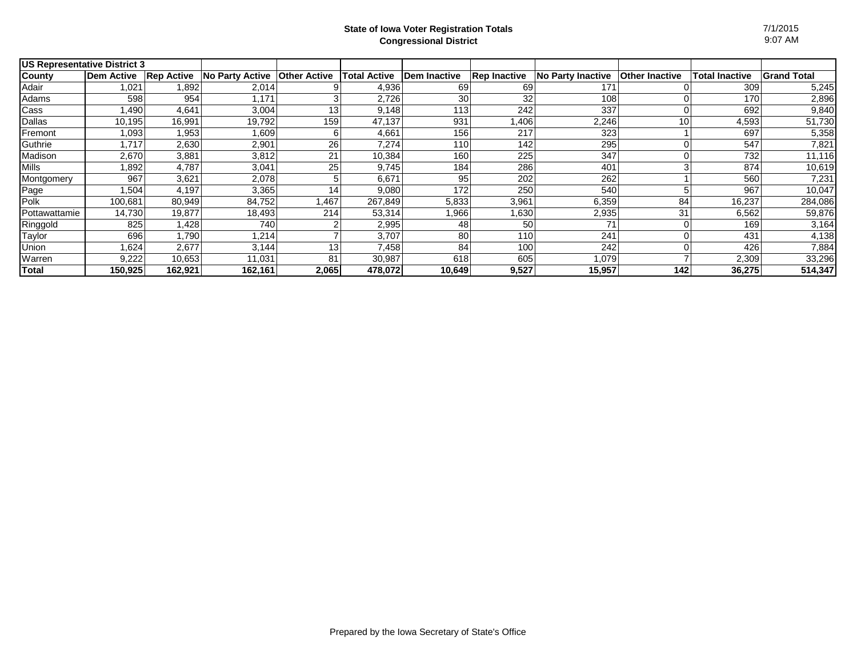| <b>US Representative District 3</b> |                   |                   |                 |                     |              |              |                     |                   |                       |                       |                    |
|-------------------------------------|-------------------|-------------------|-----------------|---------------------|--------------|--------------|---------------------|-------------------|-----------------------|-----------------------|--------------------|
| <b>County</b>                       | <b>Dem Active</b> | <b>Rep Active</b> | No Party Active | <b>Other Active</b> | Total Active | Dem Inactive | <b>Rep Inactive</b> | No Party Inactive | <b>Other Inactive</b> | <b>Total Inactive</b> | <b>Grand Total</b> |
| Adair                               | 1,021             | 1,892             | 2,014           |                     | 4,936        | 69           | 69                  | 171               |                       | 309                   | 5,245              |
| Adams                               | 598               | 954               | 1.171           |                     | 2,726        | 30           | 32                  | 108               |                       | 170                   | 2,896              |
| Cass                                | .490              | 4,641             | 3,004           | 13                  | 9.148        | 113          | 242                 | 337               |                       | 692                   | 9,840              |
| Dallas                              | 10.195            | 16,991            | 19.792          | 159                 | 47.137       | 931          | 1,406               | 2,246             | 10                    | 4,593                 | 51,730             |
| Fremont                             | 1,093             | 1,953             | l.609           |                     | 4,661        | 156          | 217                 | 323               |                       | 697                   | 5,358              |
| Guthrie                             | 1,717             | 2,630             | 2,901           | 26                  | 7,274        | 110          | 142                 | 295               |                       | 547                   | 7,821              |
| Madison                             | 2,670             | 3,881             | 3,812           | 21                  | 10,384       | 160          | 225                 | 347               |                       | 732                   | 11,116             |
| Mills                               | 1,892             | 4,787             | 3,041           | 25                  | 9,745        | 184          | 286                 | 401               |                       | 874                   | 10,619             |
| Montgomery                          | 967               | 3,621             | 2,078           |                     | 6,671        | 95           | 202                 | 262               |                       | 560                   | 7,231              |
| Page                                | 1,504             | 4,197             | 3,365           | 14                  | 9,080        | 172          | 250                 | 540               |                       | 967                   | 10,047             |
| Polk                                | 100,681           | 80,949            | 84,752          | 1,467               | 267,849      | 5,833        | 3,961               | 6,359             | 84                    | 16,237                | 284,086            |
| Pottawattamie                       | 14,730            | 19,877            | 18,493          | 214                 | 53,314       | 1,966        | 1,630               | 2,935             | 31                    | 6,562                 | 59,876             |
| Ringgold                            | 825               | 1,428.            | 740             |                     | 2,995        | 48           | 50                  |                   |                       | 169                   | 3,164              |
| Taylor                              | 696               | 1,790             | .214            |                     | 3,707        | 80           | 110                 | 241               |                       | 431                   | 4,138              |
| Union                               | 1,624             | 2,677             | 3,144           | 13                  | 7,458        | 84           | 100                 | 242               |                       | 426                   | 7,884              |
| Warren                              | 9,222             | 10,653            | 11,031          | 81                  | 30,987       | 618          | 605                 | 1,079             |                       | 2,309                 | 33,296             |
| Total                               | 150,925           | 162,921           | 162,161         | 2,065               | 478,072      | 10,649       | 9,527               | 15,957            | 142                   | 36,275                | 514,347            |